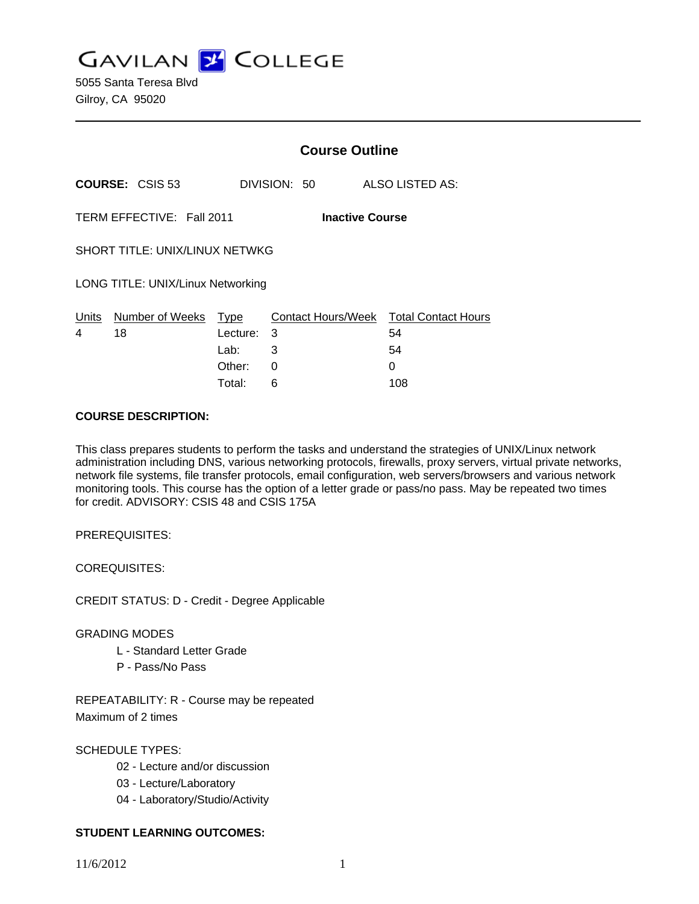**GAVILAN J COLLEGE** 

5055 Santa Teresa Blvd Gilroy, CA 95020

|                                                     |                                  | <b>Course Outline</b> |              |                                              |  |
|-----------------------------------------------------|----------------------------------|-----------------------|--------------|----------------------------------------------|--|
|                                                     | <b>COURSE: CSIS 53</b>           |                       | DIVISION: 50 | ALSO LISTED AS:                              |  |
| TERM EFFECTIVE: Fall 2011<br><b>Inactive Course</b> |                                  |                       |              |                                              |  |
| <b>SHORT TITLE: UNIX/LINUX NETWKG</b>               |                                  |                       |              |                                              |  |
| LONG TITLE: UNIX/Linux Networking                   |                                  |                       |              |                                              |  |
| 4                                                   | Units Number of Weeks Type<br>18 | Lecture: 3            |              | Contact Hours/Week Total Contact Hours<br>54 |  |
|                                                     |                                  | Lab: Lab              | 3            | 54                                           |  |
|                                                     |                                  | Other:                | 0            | 0                                            |  |
|                                                     |                                  | Total:                | 6            | 108                                          |  |

#### **COURSE DESCRIPTION:**

This class prepares students to perform the tasks and understand the strategies of UNIX/Linux network administration including DNS, various networking protocols, firewalls, proxy servers, virtual private networks, network file systems, file transfer protocols, email configuration, web servers/browsers and various network monitoring tools. This course has the option of a letter grade or pass/no pass. May be repeated two times for credit. ADVISORY: CSIS 48 and CSIS 175A

PREREQUISITES:

COREQUISITES:

CREDIT STATUS: D - Credit - Degree Applicable

## GRADING MODES

- L Standard Letter Grade
- P Pass/No Pass

REPEATABILITY: R - Course may be repeated Maximum of 2 times

SCHEDULE TYPES:

- 02 Lecture and/or discussion
- 03 Lecture/Laboratory
- 04 Laboratory/Studio/Activity

# **STUDENT LEARNING OUTCOMES:**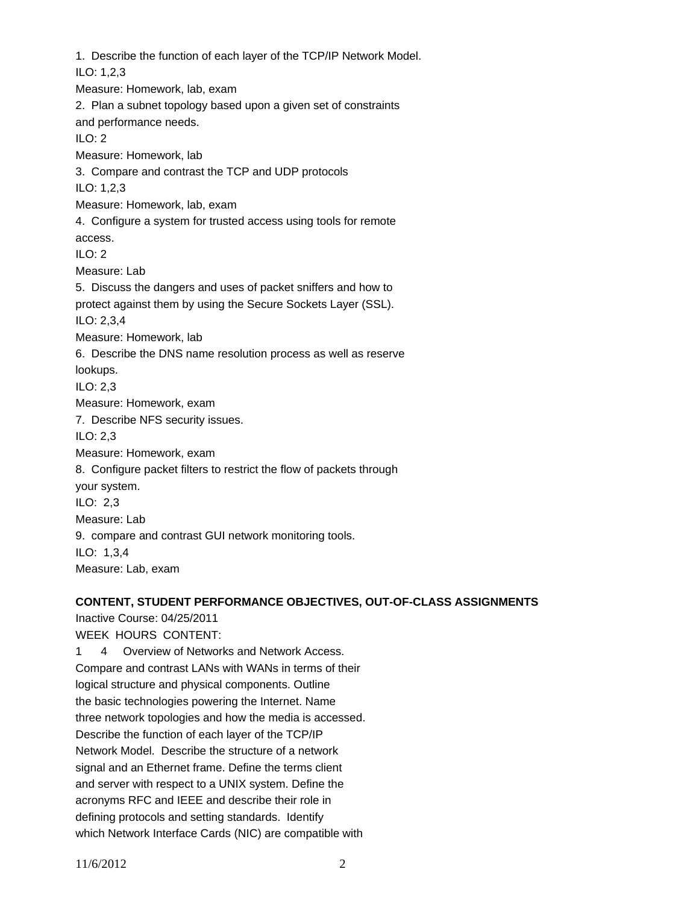1. Describe the function of each layer of the TCP/IP Network Model. ILO: 1,2,3 Measure: Homework, lab, exam 2. Plan a subnet topology based upon a given set of constraints and performance needs. ILO: 2 Measure: Homework, lab 3. Compare and contrast the TCP and UDP protocols ILO: 1,2,3 Measure: Homework, lab, exam 4. Configure a system for trusted access using tools for remote access.  $ILO: 2$ Measure: Lab 5. Discuss the dangers and uses of packet sniffers and how to protect against them by using the Secure Sockets Layer (SSL). ILO: 2,3,4 Measure: Homework, lab 6. Describe the DNS name resolution process as well as reserve lookups. ILO: 2,3 Measure: Homework, exam 7. Describe NFS security issues. ILO: 2,3 Measure: Homework, exam 8. Configure packet filters to restrict the flow of packets through your system. ILO: 2,3 Measure: Lab 9. compare and contrast GUI network monitoring tools. ILO: 1,3,4 Measure: Lab, exam

## **CONTENT, STUDENT PERFORMANCE OBJECTIVES, OUT-OF-CLASS ASSIGNMENTS**

Inactive Course: 04/25/2011 WEEK HOURS CONTENT: 1 4 Overview of Networks and Network Access. Compare and contrast LANs with WANs in terms of their logical structure and physical components. Outline the basic technologies powering the Internet. Name three network topologies and how the media is accessed. Describe the function of each layer of the TCP/IP Network Model. Describe the structure of a network signal and an Ethernet frame. Define the terms client and server with respect to a UNIX system. Define the acronyms RFC and IEEE and describe their role in defining protocols and setting standards. Identify which Network Interface Cards (NIC) are compatible with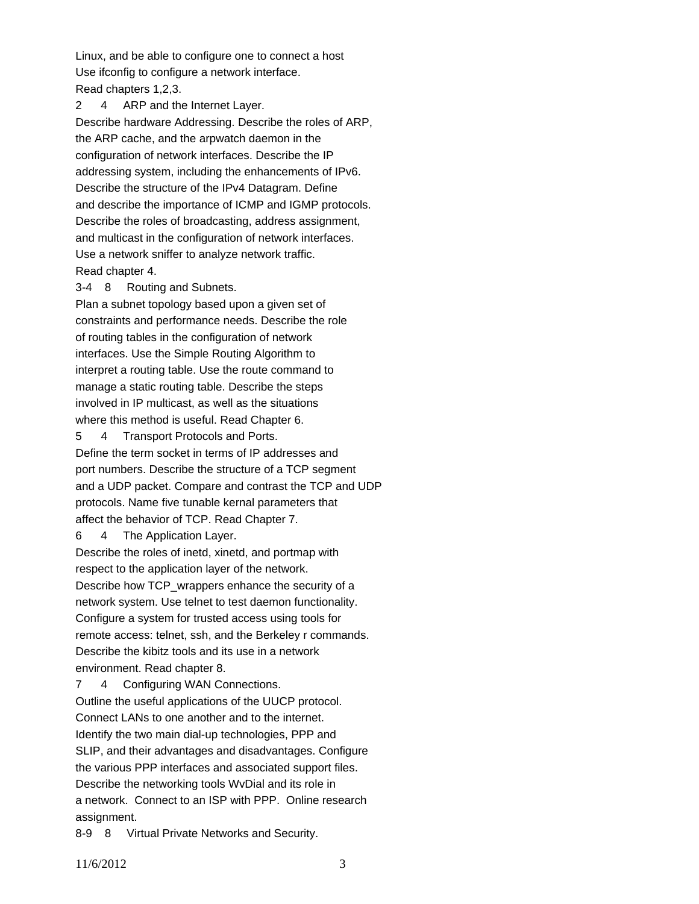Linux, and be able to configure one to connect a host Use ifconfig to configure a network interface. Read chapters 1,2,3.

2 4 ARP and the Internet Layer. Describe hardware Addressing. Describe the roles of ARP, the ARP cache, and the arpwatch daemon in the configuration of network interfaces. Describe the IP addressing system, including the enhancements of IPv6. Describe the structure of the IPv4 Datagram. Define and describe the importance of ICMP and IGMP protocols. Describe the roles of broadcasting, address assignment, and multicast in the configuration of network interfaces. Use a network sniffer to analyze network traffic. Read chapter 4.

#### 3-4 8 Routing and Subnets.

Plan a subnet topology based upon a given set of constraints and performance needs. Describe the role of routing tables in the configuration of network interfaces. Use the Simple Routing Algorithm to interpret a routing table. Use the route command to manage a static routing table. Describe the steps involved in IP multicast, as well as the situations where this method is useful. Read Chapter 6.

5 4 Transport Protocols and Ports.

Define the term socket in terms of IP addresses and port numbers. Describe the structure of a TCP segment and a UDP packet. Compare and contrast the TCP and UDP protocols. Name five tunable kernal parameters that affect the behavior of TCP. Read Chapter 7.

6 4 The Application Layer.

Describe the roles of inetd, xinetd, and portmap with respect to the application layer of the network. Describe how TCP\_wrappers enhance the security of a network system. Use telnet to test daemon functionality. Configure a system for trusted access using tools for remote access: telnet, ssh, and the Berkeley r commands. Describe the kibitz tools and its use in a network environment. Read chapter 8.

7 4 Configuring WAN Connections. Outline the useful applications of the UUCP protocol. Connect LANs to one another and to the internet. Identify the two main dial-up technologies, PPP and SLIP, and their advantages and disadvantages. Configure the various PPP interfaces and associated support files. Describe the networking tools WvDial and its role in a network. Connect to an ISP with PPP. Online research assignment.

8-9 8 Virtual Private Networks and Security.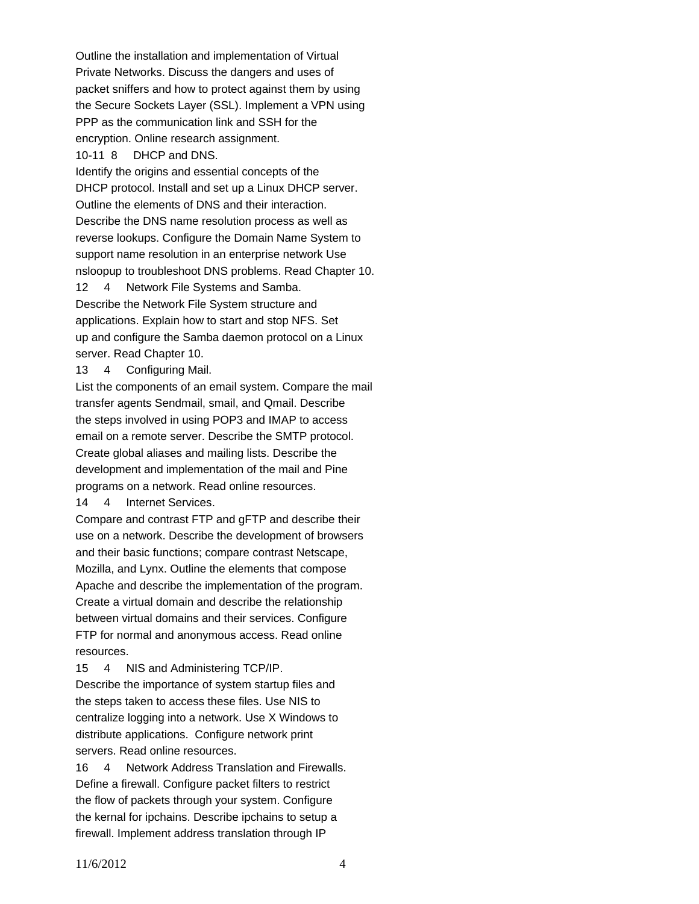Outline the installation and implementation of Virtual Private Networks. Discuss the dangers and uses of packet sniffers and how to protect against them by using the Secure Sockets Layer (SSL). Implement a VPN using PPP as the communication link and SSH for the encryption. Online research assignment. 10-11 8 DHCP and DNS.

Identify the origins and essential concepts of the DHCP protocol. Install and set up a Linux DHCP server. Outline the elements of DNS and their interaction. Describe the DNS name resolution process as well as reverse lookups. Configure the Domain Name System to support name resolution in an enterprise network Use nsloopup to troubleshoot DNS problems. Read Chapter 10.

12 4 Network File Systems and Samba. Describe the Network File System structure and applications. Explain how to start and stop NFS. Set up and configure the Samba daemon protocol on a Linux server. Read Chapter 10.

13 4 Configuring Mail.

List the components of an email system. Compare the mail transfer agents Sendmail, smail, and Qmail. Describe the steps involved in using POP3 and IMAP to access email on a remote server. Describe the SMTP protocol. Create global aliases and mailing lists. Describe the development and implementation of the mail and Pine programs on a network. Read online resources. 14 4 Internet Services.

Compare and contrast FTP and gFTP and describe their use on a network. Describe the development of browsers and their basic functions; compare contrast Netscape, Mozilla, and Lynx. Outline the elements that compose Apache and describe the implementation of the program. Create a virtual domain and describe the relationship between virtual domains and their services. Configure FTP for normal and anonymous access. Read online resources.

15 4 NIS and Administering TCP/IP.

Describe the importance of system startup files and the steps taken to access these files. Use NIS to centralize logging into a network. Use X Windows to distribute applications. Configure network print servers. Read online resources.

16 4 Network Address Translation and Firewalls. Define a firewall. Configure packet filters to restrict the flow of packets through your system. Configure the kernal for ipchains. Describe ipchains to setup a firewall. Implement address translation through IP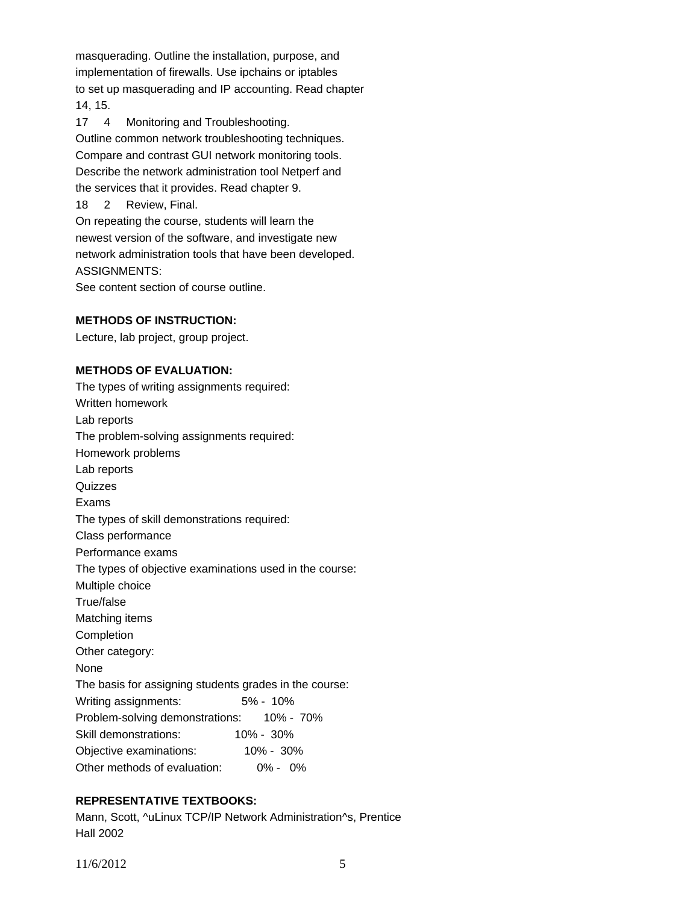masquerading. Outline the installation, purpose, and implementation of firewalls. Use ipchains or iptables to set up masquerading and IP accounting. Read chapter 14, 15.

17 4 Monitoring and Troubleshooting. Outline common network troubleshooting techniques. Compare and contrast GUI network monitoring tools. Describe the network administration tool Netperf and the services that it provides. Read chapter 9. 18 2 Review, Final. On repeating the course, students will learn the newest version of the software, and investigate new network administration tools that have been developed. ASSIGNMENTS:

See content section of course outline.

## **METHODS OF INSTRUCTION:**

Lecture, lab project, group project.

## **METHODS OF EVALUATION:**

The types of writing assignments required: Written homework Lab reports The problem-solving assignments required: Homework problems Lab reports **Quizzes** Exams The types of skill demonstrations required: Class performance Performance exams The types of objective examinations used in the course: Multiple choice True/false Matching items Completion Other category: None The basis for assigning students grades in the course: Writing assignments: 5% - 10% Problem-solving demonstrations: 10% - 70% Skill demonstrations: 10% - 30% Objective examinations: 10% - 30% Other methods of evaluation: 0% - 0%

# **REPRESENTATIVE TEXTBOOKS:**

Mann, Scott, ^uLinux TCP/IP Network Administration^s, Prentice Hall 2002

11/6/2012 5